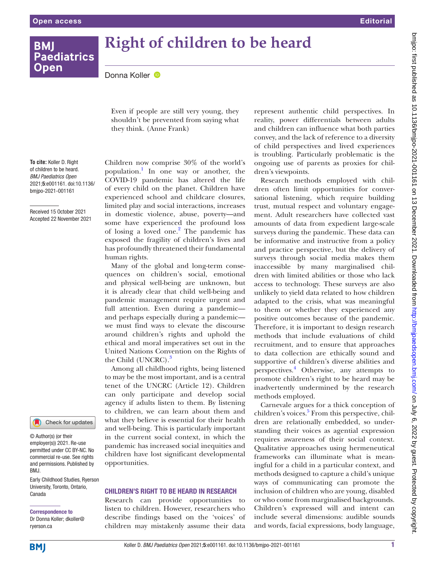**Paediatrics** 

**BMI** 

**Open** 

# **Right of children to be heard**

DonnaKoller <sup>®</sup>

Even if people are still very young, they shouldn't be prevented from saying what they think. (Anne Frank)

**To cite:** Koller D. Right of children to be heard. *BMJ Paediatrics Open* 2021;5:e001161. doi:10.1136/ bmjpo-2021-001161

Received 15 October 2021 Accepted 22 November 2021



© Author(s) (or their employer(s)) 2021. Re-use permitted under CC BY-NC. No commercial re-use. See rights and permissions. Published by BMJ.

Early Childhood Studies, Ryerson University, Toronto, Ontario, Canada

Correspondence to Dr Donna Koller; dkoller@ ryerson.ca

Children now comprise 30% of the world's population.1 In one way or another, the COVID-19 pandemic has altered the life of every child on the planet. Children have experienced school and childcare closures, limited play and social interactions, increases in domestic violence, abuse, poverty—and some have experienced the profound loss of losing a loved one.<sup>2</sup> The pandemic has exposed the fragility of children's lives and has profoundly threatened their fundamental human rights.

Many of the global and long-term consequences on children's social, emotional and physical well-being are unknown, but it is already clear that child well-being and pandemic management require urgent and full attention. Even during a pandemic and perhaps especially during a pandemic we must find ways to elevate the discourse around children's rights and uphold the ethical and moral imperatives set out in the United Nations Convention on the Rights of the Child (UNCRC).<sup>3</sup>

Among all childhood rights, being listened to may be the most important, and is a central tenet of the UNCRC (Article 12). Children can only participate and develop social agency if adults listen to them. By listening to children, we can learn about them and what they believe is essential for their health and well-being. This is particularly important in the current social context, in which the pandemic has increased social inequities and children have lost significant developmental opportunities.

## CHILDREN'S RIGHT TO BE HEARD IN RESEARCH

Research can provide opportunities to listen to children. However, researchers who describe findings based on the 'voices' of children may mistakenly assume their data

represent authentic child perspectives. In reality, power differentials between adults and children can influence what both parties convey, and the lack of reference to a diversity of child perspectives and lived experiences is troubling. Particularly problematic is the ongoing use of parents as proxies for children's viewpoints.

Research methods employed with children often limit opportunities for conversational listening, which require building trust, mutual respect and voluntary engagement. Adult researchers have collected vast amounts of data from expedient large-scale surveys during the pandemic. These data can be informative and instructive from a policy and practice perspective, but the delivery of surveys through social media makes them inaccessible by many marginalised children with limited abilities or those who lack access to technology. These surveys are also unlikely to yield data related to how children adapted to the crisis, what was meaningful to them or whether they experienced any positive outcomes because of the pandemic. Therefore, it is important to design research methods that include evaluations of child recruitment, and to ensure that approaches to data collection are ethically sound and supportive of children's diverse abilities and perspectives.4 Otherwise, any attempts to promote children's right to be heard may be inadvertently undermined by the research methods employed.

Carnevale argues for a thick conception of children's voices.<sup>5</sup> From this perspective, children are relationally embedded, so understanding their voices as agential expression requires awareness of their social context. Qualitative approaches using hermeneutical frameworks can illuminate what is meaningful for a child in a particular context, and methods designed to capture a child's unique ways of communicating can promote the inclusion of children who are young, disabled or who come from marginalised backgrounds. Children's expressed will and intent can include several dimensions: audible sounds and words, facial expressions, body language,